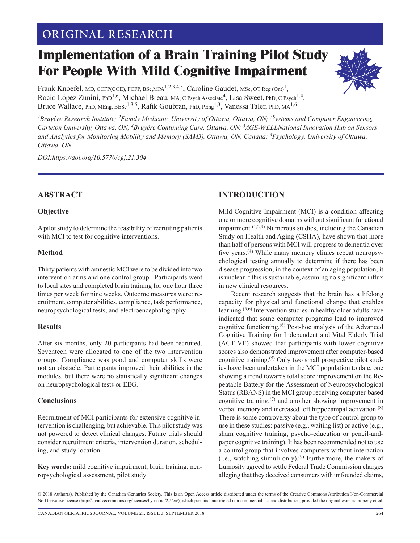# **ORIGINAL RESEARCH**

# **Implementation of a Brain Training Pilot Study For People With Mild Cognitive Impairment**



Frank Knoefel, MD, CCFP(COE), FCFP, BSc, MPA<sup>1,2,3,4,5</sup>, Caroline Gaudet, MSc, OT Reg (Ont)<sup>1</sup>, Rocio López Zunini, PhD<sup>1,6</sup>, Michael Breau, MA, C Psych Associate<sup>4</sup>, Lisa Sweet, PhD, C Psych<sup>1,4</sup>, Bruce Wallace, PhD, MEng, BESc<sup>1,3,5</sup>, Rafik Goubran, PhD, PEng<sup>1,3</sup>, Vanessa Taler, PhD, MA<sup>1,6</sup>

<sup>1</sup>Bruyère Research Institute; <sup>2</sup>Family Medicine, University of Ottawa, Ottawa, ON; <sup>3S</sup>ystems and Computer Engineering, *Carleton University, Ottawa, ON; 4Bruyère Continuing Care, Ottawa, ON; 5 AGE-WELLNational Innovation Hub on Sensors and Analytics for Monitoring Mobility and Memory (SAM3), Ottawa, ON, Canada; 6Psychology, University of Ottawa, Ottawa, ON* 

*DOI:https://doi.org/10.5770/cgj.21.304*

# **ABSTRACT**

#### **Objective**

A pilot study to determine the feasibility of recruiting patients with MCI to test for cognitive interventions.

#### **Method**

Thirty patients with amnestic MCI were to be divided into two intervention arms and one control group. Participants went to local sites and completed brain training for one hour three times per week for nine weeks. Outcome measures were: recruitment, computer abilities, compliance, task performance, neuropsychological tests, and electroencephalography.

#### **Results**

After six months, only 20 participants had been recruited. Seventeen were allocated to one of the two intervention groups. Compliance was good and computer skills were not an obstacle. Participants improved their abilities in the modules, but there were no statistically significant changes on neuropsychological tests or EEG.

#### **Conclusions**

Recruitment of MCI participants for extensive cognitive intervention is challenging, but achievable. This pilot study was not powered to detect clinical changes. Future trials should consider recruitment criteria, intervention duration, scheduling, and study location.

**Key words:** mild cognitive impairment, brain training, neuropsychological assessment, pilot study

# **INTRODUCTION**

Mild Cognitive Impairment (MCI) is a condition affecting one or more cognitive domains without significant functional impairment.<sup> $(1,2,3)$ </sup> Numerous studies, including the Canadian Study on Health and Aging (CSHA), have shown that more than half of persons with MCI will progress to dementia over five years.(4) While many memory clinics repeat neuropsychological testing annually to determine if there has been disease progression, in the context of an aging population, it is unclear if this is sustainable, assuming no significant influx in new clinical resources.

Recent research suggests that the brain has a lifelong capacity for physical and functional change that enables learning.(5,6) Intervention studies in healthy older adults have indicated that some computer programs lead to improved cognitive functioning.(6) Post-hoc analysis of the Advanced Cognitive Training for Independent and Vital Elderly Trial (ACTIVE) showed that participants with lower cognitive scores also demonstrated improvement after computer-based cognitive training.<sup> $(5)$ </sup> Only two small prospective pilot studies have been undertaken in the MCI population to date, one showing a trend towards total score improvement on the Repeatable Battery for the Assessment of Neuropsychological Status (RBANS) in the MCI group receiving computer-based cognitive training, $(7)$  and another showing improvement in verbal memory and increased left hippocampal activation.(8) There is some controversy about the type of control group to use in these studies: passive (e.g., waiting list) or active (e.g., sham cognitive training, psycho-education or pencil-andpaper cognitive training). It has been recommended not to use a control group that involves computers without interaction (i.e., watching stimuli only).<sup>(9)</sup> Furthermore, the makers of Lumosity agreed to settle Federal Trade Commission charges alleging that they deceived consumers with unfounded claims,

<sup>© 2018</sup> Author(s). Published by the Canadian Geriatrics Society. This is an Open Access article distributed under the terms of the Creative Commons Attribution Non-Commercial No-Derivative license ([http://creativecommons.org/licenses/by-nc-nd/2.5/ca/](http://creativecommons.org/licenses/by-nc-nd/2.5/ca)), which permits unrestricted non-commercial use and distribution, provided the original work is properly cited.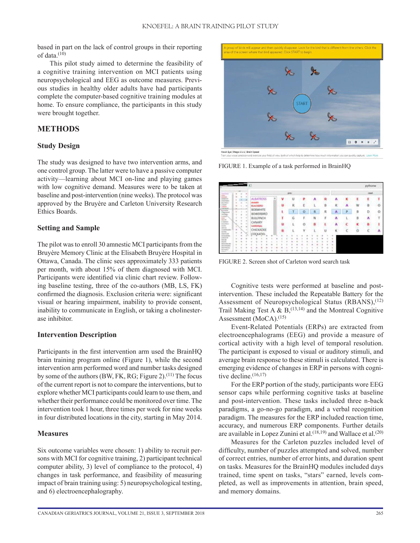based in part on the lack of control groups in their reporting of data. $(10)$ 

This pilot study aimed to determine the feasibility of a cognitive training intervention on MCI patients using neuropsychological and EEG as outcome measures. Previous studies in healthy older adults have had participants complete the computer-based cognitive training modules at home. To ensure compliance, the participants in this study were brought together.

# **METHODS**

# **Study Design**

The study was designed to have two intervention arms, and one control group. The latter were to have a passive computer activity—learning about MCI on-line and playing games with low cognitive demand. Measures were to be taken at baseline and post-intervention (nine weeks). The protocol was approved by the Bruyère and Carleton University Research Ethics Boards.

# **Setting and Sample**

The pilot was to enroll 30 amnestic MCI participants from the Bruyère Memory Clinic at the Elisabeth Bruyère Hospital in Ottawa, Canada. The clinic sees approximately 333 patients per month, with about 15% of them diagnosed with MCI. Participants were identified via clinic chart review. Following baseline testing, three of the co-authors (MB, LS, FK) confirmed the diagnosis. Exclusion criteria were: significant visual or hearing impairment, inability to provide consent, inability to communicate in English, or taking a cholinesterase inhibitor.

# **Intervention Description**

Participants in the first intervention arm used the BrainHQ brain training program online (Figure 1), while the second intervention arm performed word and number tasks designed by some of the authors (BW, FK, RG; Figure 2).<sup>(11)</sup> The focus of the current report is not to compare the interventions, but to explore whether MCI participants could learn to use them, and whether their performance could be monitored over time. The intervention took 1 hour, three times per week for nine weeks in four distributed locations in the city, starting in May 2014.

# **Measures**

Six outcome variables were chosen: 1) ability to recruit persons with MCI for cognitive training, 2) participant technical computer ability, 3) level of compliance to the protocol, 4) changes in task performance, and feasibility of measuring impact of brain training using: 5) neuropsychological testing, and 6) electroencephalography.



FIGURE 1. Example of a task performed in BrainHQ



FIGURE 2. Screen shot of Carleton word search task

Cognitive tests were performed at baseline and postintervention. These included the Repeatable Battery for the Assessment of Neuropsychological Status  $(RBANS)$ ,<sup>(12)</sup> Trail Making Test A &  $B<sub>1</sub><sup>(13,14)</sup>$  and the Montreal Cognitive Assessment  $(MoCA)$ .<sup>(15)</sup>

Event-Related Potentials (ERPs) are extracted from electroencephalograms (EEG) and provide a measure of cortical activity with a high level of temporal resolution. The participant is exposed to visual or auditory stimuli, and average brain response to these stimuli is calculated. There is emerging evidence of changes in ERP in persons with cognitive decline.<sup>(16,17)</sup>

For the ERP portion of the study, participants wore EEG sensor caps while performing cognitive tasks at baseline and post-intervention. These tasks included three n-back paradigms, a go-no-go paradigm, and a verbal recognition paradigm. The measures for the ERP included reaction time, accuracy, and numerous ERP components. Further details are available in Lopez Zunini et al.<sup>(18,19)</sup> and Wallace et al.<sup>(20)</sup>

Measures for the Carleton puzzles included level of difficulty, number of puzzles attempted and solved, number of correct entries, number of error hints, and duration spent on tasks. Measures for the BrainHQ modules included days trained, time spent on tasks, "stars" earned, levels completed, as well as improvements in attention, brain speed, and memory domains.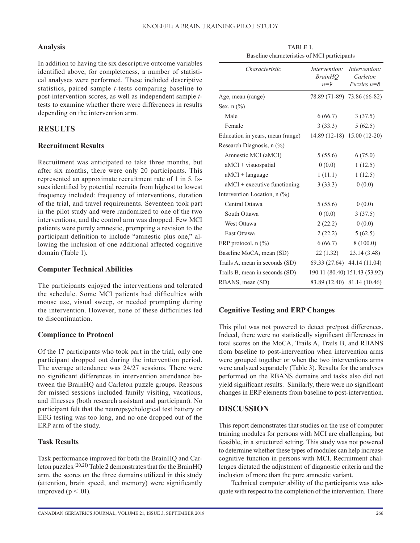#### **Analysis**

In addition to having the six descriptive outcome variables identified above, for completeness, a number of statistical analyses were performed. These included descriptive statistics, paired sample *t*-tests comparing baseline to post-intervention scores, as well as independent sample *t*tests to examine whether there were differences in results depending on the intervention arm.

# **RESULTS**

# **Recruitment Results**

Recruitment was anticipated to take three months, but after six months, there were only 20 participants. This represented an approximate recruitment rate of 1 in 5. Issues identified by potential recruits from highest to lowest frequency included: frequency of interventions, duration of the trial, and travel requirements. Seventeen took part in the pilot study and were randomized to one of the two interventions, and the control arm was dropped. Few MCI patients were purely amnestic, prompting a revision to the participant definition to include "amnestic plus one," allowing the inclusion of one additional affected cognitive domain (Table 1).

#### **Computer Technical Abilities**

The participants enjoyed the interventions and tolerated the schedule. Some MCI patients had difficulties with mouse use, visual sweep, or needed prompting during the intervention. However, none of these difficulties led to discontinuation.

#### **Compliance to Protocol**

Of the 17 participants who took part in the trial, only one participant dropped out during the intervention period. The average attendance was 24/27 sessions. There were no significant differences in intervention attendance between the BrainHQ and Carleton puzzle groups. Reasons for missed sessions included family visiting, vacations, and illnesses (both research assistant and participant). No participant felt that the neuropsychological test battery or EEG testing was too long, and no one dropped out of the ERP arm of the study.

# **Task Results**

Task performance improved for both the BrainHQ and Carleton puzzles.(20,21) Table 2 demonstrates that for the BrainHQ arm, the scores on the three domains utilized in this study (attention, brain speed, and memory) were significantly improved ( $p < .01$ ).

TABLE 1. Baseline characteristics of MCI participants

| Characteristic                      | Intervention:<br><i>BrainHO</i><br>$n=9$ | Intervention:<br>Carleton<br>Puzzles $n=8$ |
|-------------------------------------|------------------------------------------|--------------------------------------------|
| Age, mean (range)                   |                                          | 78.89 (71-89) 73.86 (66-82)                |
| Sex, $n$ $\left(\frac{9}{6}\right)$ |                                          |                                            |
| Male                                | 6(66.7)                                  | 3(37.5)                                    |
| Female                              | 3(33.3)                                  | 5(62.5)                                    |
| Education in years, mean (range)    |                                          | 14.89 (12-18) 15.00 (12-20)                |
| Research Diagnosis, $n$ $(\%)$      |                                          |                                            |
| Amnestic MCI (aMCI)                 | 5(55.6)                                  | 6(75.0)                                    |
| $aMCI + visuospatial$               | 0(0.0)                                   | 1(12.5)                                    |
| $aMCI + language$                   | 1(11.1)                                  | 1(12.5)                                    |
| aMCI + executive functioning        | 3(33.3)                                  | 0(0.0)                                     |
| Intervention Location, $n$ (%)      |                                          |                                            |
| Central Ottawa                      | 5(55.6)                                  | 0(0.0)                                     |
| South Ottawa                        | 0(0.0)                                   | 3(37.5)                                    |
| West Ottawa                         | 2(22.2)                                  | 0(0.0)                                     |
| East Ottawa                         | 2(22.2)                                  | 5(62.5)                                    |
| ERP protocol, $n$ (%)               | 6(66.7)                                  | 8(100.0)                                   |
| Baseline MoCA, mean (SD)            |                                          | $22(1.32)$ $23.14(3.48)$                   |
| Trails A, mean in seconds (SD)      |                                          | $69.33(27.64)$ 44.14 (11.04)               |
| Trails B, mean in seconds (SD)      |                                          | 190.11 (80.40) 151.43 (53.92)              |
| RBANS, mean (SD)                    |                                          | 83.89 (12.40) 81.14 (10.46)                |

# **Cognitive Testing and ERP Changes**

This pilot was not powered to detect pre/post differences. Indeed, there were no statistically significant differences in total scores on the MoCA, Trails A, Trails B, and RBANS from baseline to post-intervention when intervention arms were grouped together or when the two interventions arms were analyzed separately (Table 3). Results for the analyses performed on the RBANS domains and tasks also did not yield significant results. Similarly, there were no significant changes in ERP elements from baseline to post-intervention.

# **DISCUSSION**

This report demonstrates that studies on the use of computer training modules for persons with MCI are challenging, but feasible, in a structured setting. This study was not powered to determine whether these types of modules can help increase cognitive function in persons with MCI. Recruitment challenges dictated the adjustment of diagnostic criteria and the inclusion of more than the pure amnestic variant.

Technical computer ability of the participants was adequate with respect to the completion of the intervention. There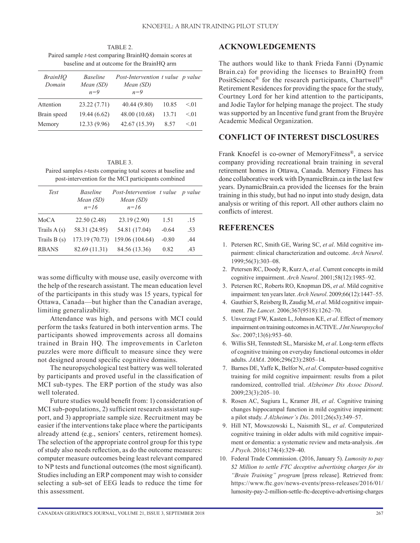TABLE 2. Paired sample *t*-test comparing BrainHQ domain scores at baseline and at outcome for the BrainHQ arm

| <i>BrainHO</i><br>Domain | <i>Baseline</i><br>Mean (SD)<br>$n=9$ | Post-Intervention t value p value<br>Mean (SD)<br>$n=9$ |       |      |
|--------------------------|---------------------------------------|---------------------------------------------------------|-------|------|
| Attention                | 23.22(7.71)                           | 40.44 (9.80)                                            | 10.85 | < 01 |
| Brain speed              | 19.44 (6.62)                          | 48.00 (10.68)                                           | 13.71 | < 01 |
| Memory                   | 12.33(9.96)                           | 42.67 (15.39)                                           | 8.57  | < 01 |

TABLE 3. Paired samples *t*-tests comparing total scores at baseline and post-intervention for the MCI participants combined

| Test          | <i>Baseline</i><br>Mean(SD)<br>$n=16$ | Post-Intervention t value p value<br>Mean $(SD)$<br>$n=16$ |         |     |
|---------------|---------------------------------------|------------------------------------------------------------|---------|-----|
| MoCA          | 22.50 (2.48)                          | 23.19 (2.90)                                               | 1.51    | .15 |
| Trails $A(s)$ | 58.31 (24.95)                         | 54.81 (17.04)                                              | $-0.64$ | .53 |
| Trails $B(s)$ | 173.19 (70.73)                        | 159.06 (104.64)                                            | $-0.80$ | .44 |
| <b>RBANS</b>  | 82.69 (11.31)                         | 84.56 (13.36)                                              | 0.82    | .43 |

was some difficulty with mouse use, easily overcome with the help of the research assistant. The mean education level of the participants in this study was 15 years, typical for Ottawa, Canada—but higher than the Canadian average, limiting generalizability.

Attendance was high, and persons with MCI could perform the tasks featured in both intervention arms. The participants showed improvements across all domains trained in Brain HQ. The improvements in Carleton puzzles were more difficult to measure since they were not designed around specific cognitive domains.

The neuropsychological test battery was well tolerated by participants and proved useful in the classification of MCI sub-types. The ERP portion of the study was also well tolerated.

Future studies would benefit from: 1) consideration of MCI sub-populations, 2) sufficient research assistant support, and 3) appropriate sample size. Recruitment may be easier if the interventions take place where the participants already attend (e.g., seniors' centers, retirement homes). The selection of the appropriate control group for this type of study also needs reflection, as do the outcome measures: computer measure outcomes being least relevant compared to NP tests and functional outcomes (the most significant). Studies including an ERP component may wish to consider selecting a sub-set of EEG leads to reduce the time for this assessment.

# **ACKNOWLEDGEMENTS**

The authors would like to thank Frieda Fanni (Dynamic Brain.ca) for providing the licenses to BrainHQ from PositScience® for the research participants, Chartwell® Retirement Residences for providing the space for the study, Courtney Lord for her kind attention to the participants, and Jodie Taylor for helping manage the project. The study was supported by an Incentive fund grant from the Bruyère Academic Medical Organization.

# **CONFLICT OF INTEREST DISCLOSURES**

Frank Knoefel is co-owner of MemoryFitness®, a service company providing recreational brain training in several retirement homes in Ottawa, Canada. Memory Fitness has done collaborative work with DynamicBrain.ca in the last few years. DynamicBrain.ca provided the licenses for the brain training in this study, but had no input into study design, data analysis or writing of this report. All other authors claim no conflicts of interest.

# **REFERENCES**

- 1. Petersen RC, Smith GE, Waring SC, *et al*. Mild cognitive impairment: clinical characterization and outcome. *Arch Neurol*. 1999;56(3):303–08.
- 2. Petersen RC, Doody R, Kurz A, *et al*. Current concepts in mild cognitive impairment. *Arch Neurol*. 2001;58(12):1985–92.
- 3. Petersen RC, Roberts RO, Knopman DS, *et al*. Mild cognitive impairment: ten years later. *Arch Neurol*. 2009;66(12):1447–55.
- 4. Gauthier S, Reisberg B, Zaudig M, *et al*. Mild cognitive impairment. *The Lancet*. 2006;367(9518):1262–70.
- 5. Unverzagt FW, Kasten L, Johnson KE, *et al*. Effect of memory impairment on training outcomes in ACTIVE. *J Int Neuropsychol Soc*. 2007;13(6):953–60.
- 6. Willis SH, Tennstedt SL, Marsiske M, *et al*. Long-term effects of cognitive training on everyday functional outcomes in older adults. *JAMA*. 2006;296(23):2805–14.
- 7. Barnes DE, Yaffe K, Belfor N, *et al*. Computer-based cognitive training for mild cognitive impairment: results from a pilot randomized, controlled trial. *Alzheimer Dis Assoc Disord*. 2009;23(3):205–10.
- 8. Rosen AC, Sugiura L, Kramer JH, *et al*. Cognitive training changes hippocampal function in mild cognitive impairment: a pilot study. *J Alzheimer's Dis*. 2011;26(s3):349–57.
- 9. Hill NT, Mowszowski L, Naismith SL, *et al*. Computerized cognitive training in older adults with mild cognitive impairment or dementia: a systematic review and meta-analysis. *Am J Psych*. 2016;174(4):329–40.
- 10. Federal Trade Commission. (2016, January 5). *Lumosity to pay \$2 Million to settle FTC deceptive advertising charges for its "Brain Training" program* [press release]. Retrieved from: [https://www.ftc.gov/news-events/press-releases/2016/01/](https://www.ftc.gov/news-events/press-releases/2016/01/lumosity-pay-2-million-settle-ftc-deceptive-advertising-charges) [lumosity-pay-2-million-settle-ftc-deceptive-advertising-charges](https://www.ftc.gov/news-events/press-releases/2016/01/lumosity-pay-2-million-settle-ftc-deceptive-advertising-charges)